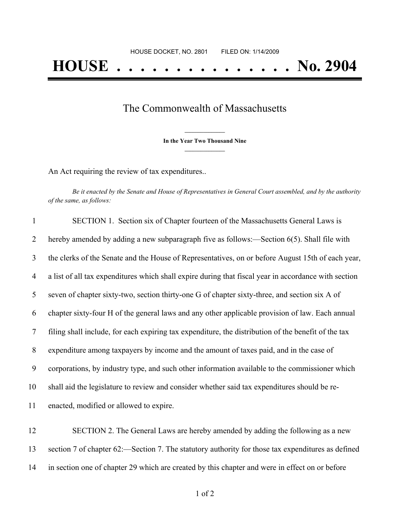## The Commonwealth of Massachusetts

**\_\_\_\_\_\_\_\_\_\_\_\_\_\_\_ In the Year Two Thousand Nine \_\_\_\_\_\_\_\_\_\_\_\_\_\_\_**

An Act requiring the review of tax expenditures..

Be it enacted by the Senate and House of Representatives in General Court assembled, and by the authority *of the same, as follows:*

| $\mathbf{1}$   | SECTION 1. Section six of Chapter fourteen of the Massachusetts General Laws is                      |
|----------------|------------------------------------------------------------------------------------------------------|
| 2              | hereby amended by adding a new subparagraph five as follows:—Section $6(5)$ . Shall file with        |
| 3              | the clerks of the Senate and the House of Representatives, on or before August 15th of each year,    |
| $\overline{4}$ | a list of all tax expenditures which shall expire during that fiscal year in accordance with section |
| 5              | seven of chapter sixty-two, section thirty-one G of chapter sixty-three, and section six A of        |
| 6              | chapter sixty-four H of the general laws and any other applicable provision of law. Each annual      |
| 7              | filing shall include, for each expiring tax expenditure, the distribution of the benefit of the tax  |
| 8              | expenditure among taxpayers by income and the amount of taxes paid, and in the case of               |
| 9              | corporations, by industry type, and such other information available to the commissioner which       |
| 10             | shall aid the legislature to review and consider whether said tax expenditures should be re-         |
| 11             | enacted, modified or allowed to expire.                                                              |

12 SECTION 2. The General Laws are hereby amended by adding the following as a new 13 section 7 of chapter 62:—Section 7. The statutory authority for those tax expenditures as defined 14 in section one of chapter 29 which are created by this chapter and were in effect on or before